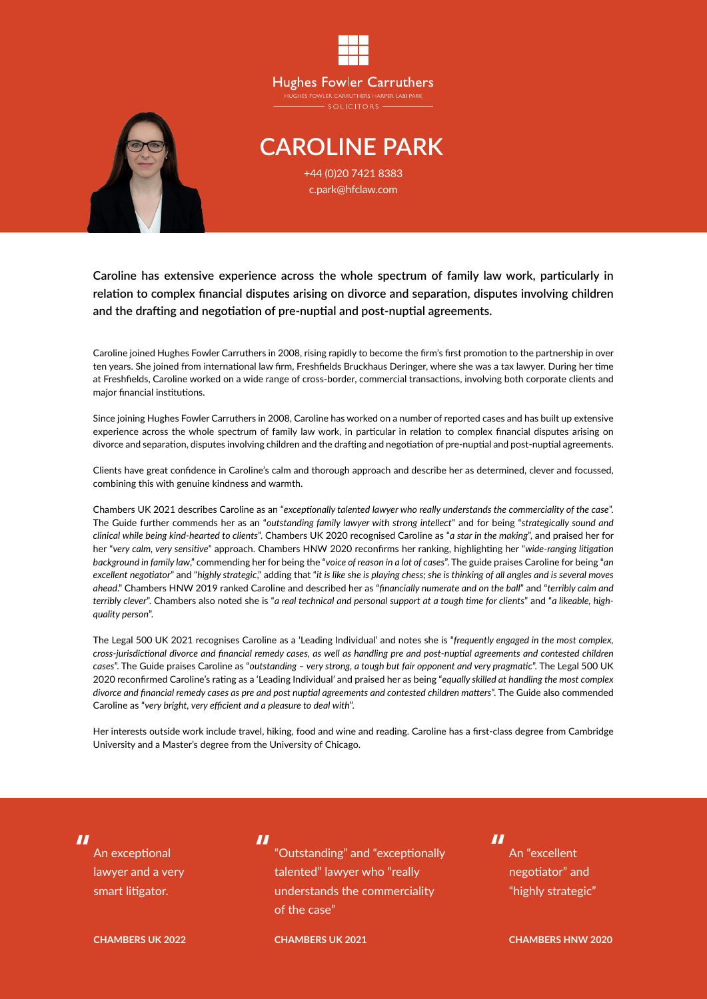



## **CAROLINE PARK** +44 (0)20 7421 8383

c.park@hfclaw.com

**Caroline has extensive experience across the whole spectrum of family law work, particularly in relation to complex financial disputes arising on divorce and separation, disputes involving children and the drafting and negotiation of pre-nuptial and post-nuptial agreements.**

Caroline joined Hughes Fowler Carruthers in 2008, rising rapidly to become the firm's first promotion to the partnership in over ten years. She joined from international law firm, Freshfields Bruckhaus Deringer, where she was a tax lawyer. During her time at Freshfields, Caroline worked on a wide range of cross-border, commercial transactions, involving both corporate clients and major financial institutions.

Since joining Hughes Fowler Carruthers in 2008, Caroline has worked on a number of reported cases and has built up extensive experience across the whole spectrum of family law work, in particular in relation to complex financial disputes arising on divorce and separation, disputes involving children and the drafting and negotiation of pre-nuptial and post-nuptial agreements.

Clients have great confidence in Caroline's calm and thorough approach and describe her as determined, clever and focussed, combining this with genuine kindness and warmth.

Chambers UK 2021 describes Caroline as an "*exceptionally talented lawyer who really understands the commerciality of the case*". The Guide further commends her as an "*outstanding family lawyer with strong intellect*" and for being "*strategically sound and clinical while being kind-hearted to clients*". Chambers UK 2020 recognised Caroline as "*a star in the making*", and praised her for her "*very calm, very sensitive*" approach. Chambers HNW 2020 reconfirms her ranking, highlighting her "*wide-ranging litigation background in family law*," commending her for being the "*voice of reason in a lot of cases*". The guide praises Caroline for being "*an excellent negotiator*" and "*highly strategic*," adding that "*it is like she is playing chess; she is thinking of all angles and is several moves ahead*." Chambers HNW 2019 ranked Caroline and described her as "*financially numerate and on the ball*" and "*terribly calm and terribly clever*". Chambers also noted she is "*a real technical and personal support at a tough time for clients*" and "*a likeable, highquality person*".

The Legal 500 UK 2021 recognises Caroline as a 'Leading Individual' and notes she is "*frequently engaged in the most complex, cross-jurisdictional divorce and financial remedy cases, as well as handling pre and post-nuptial agreements and contested children cases*". The Guide praises Caroline as "*outstanding – very strong, a tough but fair opponent and very pragmatic*". The Legal 500 UK 2020 reconfirmed Caroline's rating as a 'Leading Individual' and praised her as being "*equally skilled at handling the most complex divorce and financial remedy cases as pre and post nuptial agreements and contested children matters*". The Guide also commended Caroline as "*very bright, very efficient and a pleasure to deal with*".

Her interests outside work include travel, hiking, food and wine and reading. Caroline has a first-class degree from Cambridge University and a Master's degree from the University of Chicago.

"

An exceptional lawyer and a very smart litigator.

**CHAMBERS UK 2022**

"

"Outstanding" and "exceptionally talented" lawyer who "really understands the commerciality of the case"

**CHAMBERS UK 2021**

" An "excellent negotiator" and "highly strategic"

**CHAMBERS HNW 2020**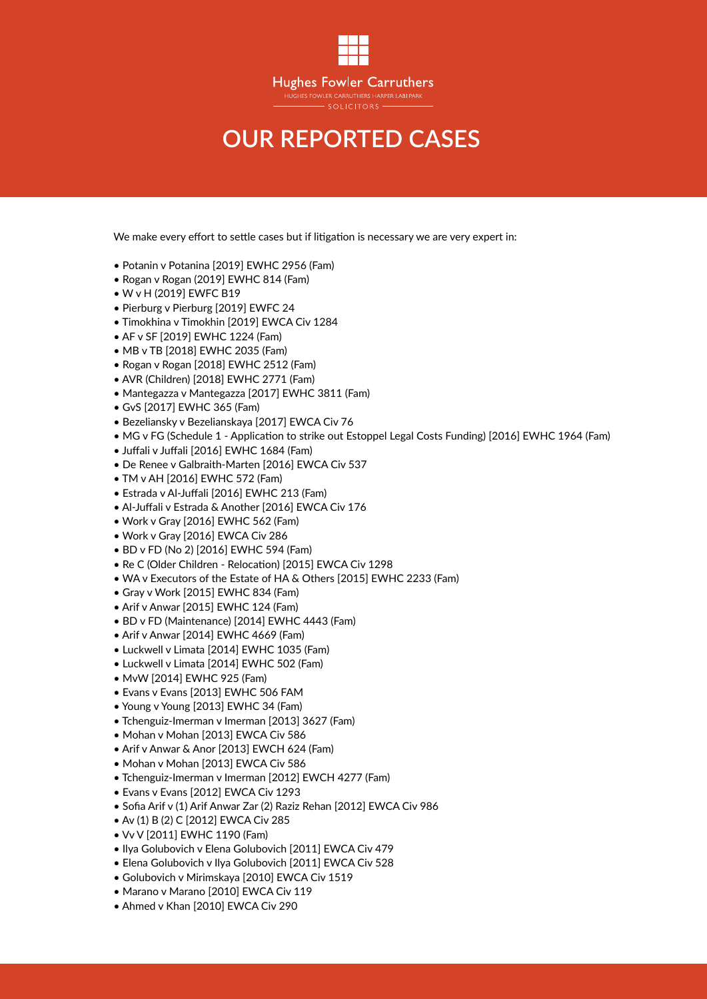

## **OUR REPORTED CASES**

We make every effort to settle cases but if litigation is necessary we are very expert in:

- Potanin v Potanina [2019] EWHC 2956 (Fam)
- Rogan v Rogan (2019] EWHC 814 (Fam)
- W v H (2019] EWFC B19
- Pierburg v Pierburg [2019] EWFC 24
- Timokhina v Timokhin [2019] EWCA Civ 1284
- AF v SF [2019] EWHC 1224 (Fam)
- MB v TB [2018] EWHC 2035 (Fam)
- Rogan v Rogan [2018] EWHC 2512 (Fam)
- AVR (Children) [2018] EWHC 2771 (Fam)
- Mantegazza v Mantegazza [2017] EWHC 3811 (Fam)
- GvS [2017] EWHC 365 (Fam)
- Bezeliansky v Bezelianskaya [2017] EWCA Civ 76
- MG v FG (Schedule 1 Application to strike out Estoppel Legal Costs Funding) [2016] EWHC 1964 (Fam)
- Juffali v Juffali [2016] EWHC 1684 (Fam)
- De Renee v Galbraith-Marten [2016] EWCA Civ 537
- TM v AH [2016] EWHC 572 (Fam)
- Estrada v Al-Juffali [2016] EWHC 213 (Fam)
- Al-Juffali v Estrada & Another [2016] EWCA Civ 176
- Work v Gray [2016] EWHC 562 (Fam)
- Work v Gray [2016] EWCA Civ 286
- BD v FD (No 2) [2016] EWHC 594 (Fam)
- Re C (Older Children Relocation) [2015] EWCA Civ 1298
- WA v Executors of the Estate of HA & Others [2015] EWHC 2233 (Fam)
- Gray v Work [2015] EWHC 834 (Fam)
- Arif v Anwar [2015] EWHC 124 (Fam)
- BD v FD (Maintenance) [2014] EWHC 4443 (Fam)
- Arif v Anwar [2014] EWHC 4669 (Fam)
- Luckwell v Limata [2014] EWHC 1035 (Fam)
- Luckwell v Limata [2014] EWHC 502 (Fam)
- MvW [2014] EWHC 925 (Fam)
- Evans v Evans [2013] EWHC 506 FAM
- Young v Young [2013] EWHC 34 (Fam)
- Tchenguiz-Imerman v Imerman [2013] 3627 (Fam)
- Mohan v Mohan [2013] EWCA Civ 586
- Arif v Anwar & Anor [2013] EWCH 624 (Fam)
- Mohan v Mohan [2013] EWCA Civ 586
- Tchenguiz-Imerman v Imerman [2012] EWCH 4277 (Fam)
- Evans v Evans [2012] EWCA Civ 1293
- Sofia Arif v (1) Arif Anwar Zar (2) Raziz Rehan [2012] EWCA Civ 986
- Av (1) B (2) C [2012] EWCA Civ 285
- Vv V [2011] EWHC 1190 (Fam)
- Ilya Golubovich v Elena Golubovich [2011] EWCA Civ 479
- Elena Golubovich v Ilya Golubovich [2011] EWCA Civ 528
- Golubovich v Mirimskaya [2010] EWCA Civ 1519
- Marano v Marano [2010] EWCA Civ 119
- Ahmed v Khan [2010] EWCA Civ 290